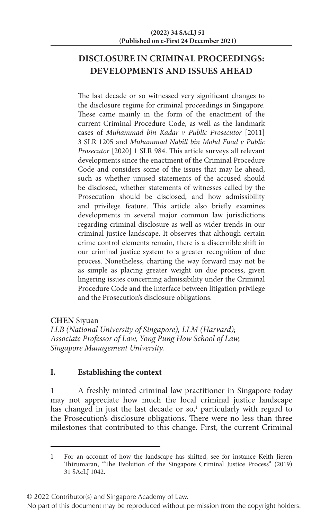# **DISCLOSURE IN CRIMINAL PROCEEDINGS: DEVELOPMENTS AND ISSUES AHEAD**

The last decade or so witnessed very significant changes to the disclosure regime for criminal proceedings in Singapore. These came mainly in the form of the enactment of the current Criminal Procedure Code, as well as the landmark cases of *Muhammad bin Kadar v Public Prosecutor* [2011] 3 SLR 1205 and *Muhammad Nabill bin Mohd Fuad v Public Prosecutor* [2020] 1 SLR 984. This article surveys all relevant developments since the enactment of the Criminal Procedure Code and considers some of the issues that may lie ahead, such as whether unused statements of the accused should be disclosed, whether statements of witnesses called by the Prosecution should be disclosed, and how admissibility and privilege feature. This article also briefly examines developments in several major common law jurisdictions regarding criminal disclosure as well as wider trends in our criminal justice landscape. It observes that although certain crime control elements remain, there is a discernible shift in our criminal justice system to a greater recognition of due process. Nonetheless, charting the way forward may not be as simple as placing greater weight on due process, given lingering issues concerning admissibility under the Criminal Procedure Code and the interface between litigation privilege and the Prosecution's disclosure obligations.

**CHEN** Siyuan *LLB (National University of Singapore), LLM (Harvard); Associate Professor of Law, Yong Pung How School of Law, Singapore Management University.*

## **I. Establishing the context**

1 A freshly minted criminal law practitioner in Singapore today may not appreciate how much the local criminal justice landscape has changed in just the last decade or  $so<sup>1</sup>$  particularly with regard to the Prosecution's disclosure obligations. There were no less than three milestones that contributed to this change. First, the current Criminal

© 2022 Contributor(s) and Singapore Academy of Law.

<sup>1</sup> For an account of how the landscape has shifted, see for instance Keith Jieren Thirumaran, "The Evolution of the Singapore Criminal Justice Process" (2019) 31 SAcLJ 1042.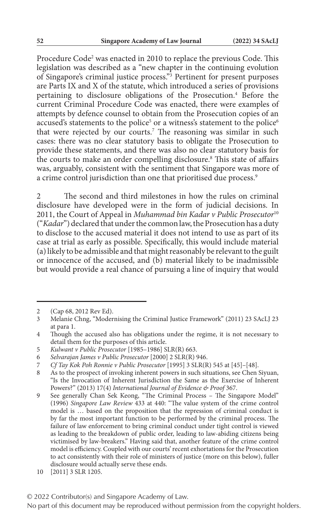Procedure Code<sup>2</sup> was enacted in 2010 to replace the previous Code. This legislation was described as a "new chapter in the continuing evolution of Singapore's criminal justice process."3 Pertinent for present purposes are Parts IX and X of the statute, which introduced a series of provisions pertaining to disclosure obligations of the Prosecution.4 Before the current Criminal Procedure Code was enacted, there were examples of attempts by defence counsel to obtain from the Prosecution copies of an accused's statements to the police<sup>5</sup> or a witness's statement to the police<sup>6</sup> that were rejected by our courts.<sup>7</sup> The reasoning was similar in such cases: there was no clear statutory basis to obligate the Prosecution to provide these statements, and there was also no clear statutory basis for the courts to make an order compelling disclosure.<sup>8</sup> This state of affairs was, arguably, consistent with the sentiment that Singapore was more of a crime control jurisdiction than one that prioritised due process.<sup>9</sup>

2 The second and third milestones in how the rules on criminal disclosure have developed were in the form of judicial decisions. In 2011, the Court of Appeal in *Muhammad bin Kadar v Public Prosecutor*<sup>10</sup> ("*Kadar*") declared that under the common law, the Prosecution has a duty to disclose to the accused material it does not intend to use as part of its case at trial as early as possible. Specifically, this would include material (a) likely to be admissible and that might reasonably be relevant to the guilt or innocence of the accused, and (b) material likely to be inadmissible but would provide a real chance of pursuing a line of inquiry that would

<sup>2 (</sup>Cap 68, 2012 Rev Ed).<br>3 Melanie Chng. "Moder

<sup>3</sup> Melanie Chng, "Modernising the Criminal Justice Framework" (2011) 23 SAcLJ 23 at para 1.

<sup>4</sup> Though the accused also has obligations under the regime, it is not necessary to detail them for the purposes of this article.

<sup>5</sup> *Kulwant v Public Prosecutor* [1985–1986] SLR(R) 663.

<sup>6</sup> *Selvarajan James v Public Prosecutor* [2000] 2 SLR(R) 946.

<sup>7</sup> *Cf Tay Kok Poh Ronnie v Public Prosecutor* [1995] 3 SLR(R) 545 at [45]–[48].

<sup>8</sup> As to the prospect of invoking inherent powers in such situations, see Chen Siyuan, "Is the Invocation of Inherent Jurisdiction the Same as the Exercise of Inherent Powers?" (2013) 17(4) *International Journal of Evidence & Proof* 367.

<sup>9</sup> See generally Chan Sek Keong, "The Criminal Process - The Singapore Model" (1996) *Singapore Law Review* 433 at 440: "The value system of the crime control model is … based on the proposition that the repression of criminal conduct is by far the most important function to be performed by the criminal process. The failure of law enforcement to bring criminal conduct under tight control is viewed as leading to the breakdown of public order, leading to law-abiding citizens being victimised by law-breakers." Having said that, another feature of the crime control model is efficiency. Coupled with our courts' recent exhortations for the Prosecution to act consistently with their role of ministers of justice (more on this below), fuller disclosure would actually serve these ends.

<sup>10</sup> [2011] 3 SLR 1205.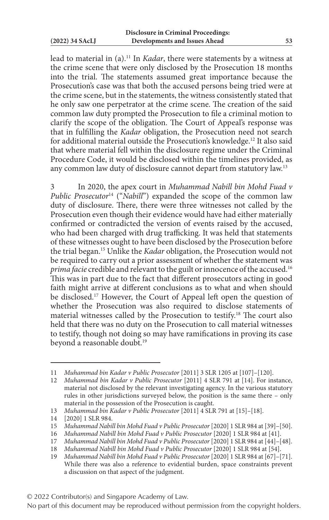lead to material in (a).11 In *Kadar*, there were statements by a witness at the crime scene that were only disclosed by the Prosecution 18 months into the trial. The statements assumed great importance because the Prosecution's case was that both the accused persons being tried were at the crime scene, but in the statements, the witness consistently stated that he only saw one perpetrator at the crime scene. The creation of the said common law duty prompted the Prosecution to file a criminal motion to clarify the scope of the obligation. The Court of Appeal's response was that in fulfilling the *Kadar* obligation, the Prosecution need not search for additional material outside the Prosecution's knowledge.12 It also said that where material fell within the disclosure regime under the Criminal Procedure Code, it would be disclosed within the timelines provided, as any common law duty of disclosure cannot depart from statutory law.13

3 In 2020, the apex court in *Muhammad Nabill bin Mohd Fuad v Public Prosecutor*<sup>14</sup> ("*Nabill*") expanded the scope of the common law duty of disclosure. There, there were three witnesses not called by the Prosecution even though their evidence would have had either materially confirmed or contradicted the version of events raised by the accused, who had been charged with drug trafficking. It was held that statements of these witnesses ought to have been disclosed by the Prosecution before the trial began.15 Unlike the *Kadar* obligation, the Prosecution would not be required to carry out a prior assessment of whether the statement was *prima facie* credible and relevant to the guilt or innocence of the accused.16 This was in part due to the fact that different prosecutors acting in good faith might arrive at different conclusions as to what and when should be disclosed.17 However, the Court of Appeal left open the question of whether the Prosecution was also required to disclose statements of material witnesses called by the Prosecution to testify.18 The court also held that there was no duty on the Prosecution to call material witnesses to testify, though not doing so may have ramifications in proving its case beyond a reasonable doubt.<sup>19</sup>

<sup>11</sup> *Muhammad bin Kadar v Public Prosecutor* [2011] 3 SLR 1205 at [107]–[120].

<sup>12</sup> *Muhammad bin Kadar v Public Prosecutor* [2011] 4 SLR 791 at [14]. For instance, material not disclosed by the relevant investigating agency. In the various statutory rules in other jurisdictions surveyed below, the position is the same there – only material in the possession of the Prosecution is caught.

<sup>13</sup> *Muhammad bin Kadar v Public Prosecutor* [2011] 4 SLR 791 at [15]–[18].

<sup>14</sup> [2020] 1 SLR 984.

<sup>15</sup> *Muhammad Nabill bin Mohd Fuad v Public Prosecutor* [2020] 1 SLR 984 at [39]–[50].

<sup>16</sup> *Muhammad Nabill bin Mohd Fuad v Public Prosecutor* [2020] 1 SLR 984 at [41].

<sup>17</sup> *Muhammad Nabill bin Mohd Fuad v Public Prosecutor* [2020] 1 SLR 984 at [44]–[48].

<sup>18</sup> *Muhammad Nabill bin Mohd Fuad v Public Prosecutor* [2020] 1 SLR 984 at [54].

<sup>19</sup> *Muhammad Nabill bin Mohd Fuad v Public Prosecutor* [2020] 1 SLR 984 at [67]–[71]. While there was also a reference to evidential burden, space constraints prevent a discussion on that aspect of the judgment.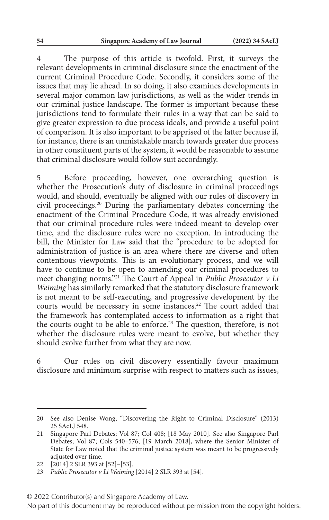4 The purpose of this article is twofold. First, it surveys the relevant developments in criminal disclosure since the enactment of the current Criminal Procedure Code. Secondly, it considers some of the issues that may lie ahead. In so doing, it also examines developments in several major common law jurisdictions, as well as the wider trends in our criminal justice landscape. The former is important because these jurisdictions tend to formulate their rules in a way that can be said to give greater expression to due process ideals, and provide a useful point of comparison. It is also important to be apprised of the latter because if, for instance, there is an unmistakable march towards greater due process in other constituent parts of the system, it would be reasonable to assume that criminal disclosure would follow suit accordingly.

5 Before proceeding, however, one overarching question is whether the Prosecution's duty of disclosure in criminal proceedings would, and should, eventually be aligned with our rules of discovery in civil proceedings.20 During the parliamentary debates concerning the enactment of the Criminal Procedure Code, it was already envisioned that our criminal procedure rules were indeed meant to develop over time, and the disclosure rules were no exception. In introducing the bill, the Minister for Law said that the "procedure to be adopted for administration of justice is an area where there are diverse and often contentious viewpoints. This is an evolutionary process, and we will have to continue to be open to amending our criminal procedures to meet changing norms."21 The Court of Appeal in *Public Prosecutor v Li Weiming* has similarly remarked that the statutory disclosure framework is not meant to be self-executing, and progressive development by the courts would be necessary in some instances.<sup>22</sup> The court added that the framework has contemplated access to information as a right that the courts ought to be able to enforce.<sup>23</sup> The question, therefore, is not whether the disclosure rules were meant to evolve, but whether they should evolve further from what they are now.

6 Our rules on civil discovery essentially favour maximum disclosure and minimum surprise with respect to matters such as issues,

<sup>20</sup> See also Denise Wong, "Discovering the Right to Criminal Disclosure" (2013) 25 SAcLJ 548.

<sup>21</sup> Singapore Parl Debates; Vol 87; Col 408; [18 May 2010]. See also Singapore Parl Debates; Vol 87; Cols 540–576; [19 March 2018], where the Senior Minister of State for Law noted that the criminal justice system was meant to be progressively adjusted over time.

<sup>22</sup> [2014] 2 SLR 393 at [52]–[53].

<sup>23</sup> *Public Prosecutor v Li Weiming* [2014] 2 SLR 393 at [54].

<sup>© 2022</sup> Contributor(s) and Singapore Academy of Law.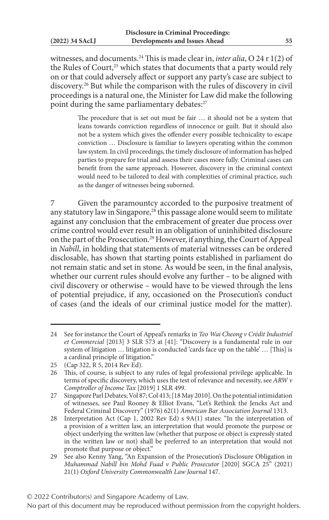witnesses, and documents.24 This is made clear in, *inter alia*, O 24 r 1(2) of the Rules of Court,<sup>25</sup> which states that documents that a party would rely on or that could adversely affect or support any party's case are subject to discovery.26 But while the comparison with the rules of discovery in civil proceedings is a natural one, the Minister for Law did make the following point during the same parliamentary debates:<sup>27</sup>

> The procedure that is set out must be fair … it should not be a system that leans towards conviction regardless of innocence or guilt. But it should also not be a system which gives the offender every possible technicality to escape conviction … Disclosure is familiar to lawyers operating within the common law system. In civil proceedings, the timely disclosure of information has helped parties to prepare for trial and assess their cases more fully. Criminal cases can benefit from the same approach. However, discovery in the criminal context would need to be tailored to deal with complexities of criminal practice, such as the danger of witnesses being suborned.

7 Given the paramountcy accorded to the purposive treatment of any statutory law in Singapore,<sup>28</sup> this passage alone would seem to militate against any conclusion that the embracement of greater due process over crime control would ever result in an obligation of uninhibited disclosure on the part of the Prosecution.29 However, if anything, the Court of Appeal in *Nabill*, in holding that statements of material witnesses can be ordered disclosable, has shown that starting points established in parliament do not remain static and set in stone. As would be seen, in the final analysis, whether our current rules should evolve any further – to be aligned with civil discovery or otherwise – would have to be viewed through the lens of potential prejudice, if any, occasioned on the Prosecution's conduct of cases (and the ideals of our criminal justice model for the matter).

<sup>24</sup> See for instance the Court of Appeal's remarks in *Teo Wai Cheong v Crédit Industriel et Commercial* [2013] 3 SLR 573 at [41]: "Discovery is a fundamental rule in our system of litigation … litigation is conducted 'cards face up on the table' … [This] is a cardinal principle of litigation."

<sup>25</sup> (Cap 322, R 5, 2014 Rev Ed).

<sup>26</sup> This, of course, is subject to any rules of legal professional privilege applicable. In terms of specific discovery, which uses the test of relevance and necessity, see *ARW v Comptroller of Income Tax* [2019] 1 SLR 499.

<sup>27</sup> Singapore Parl Debates; Vol 87; Col 413; [18 May 2010]. On the potential intimidation of witnesses, see Paul Rooney & Elliot Evans, "Let's Rethink the Jencks Act and Federal Criminal Discovery" (1976) 62(1) *American Bar Association Journal* 1313.

<sup>28</sup> Interpretation Act (Cap 1, 2002 Rev Ed) s 9A(1) states: "In the interpretation of a provision of a written law, an interpretation that would promote the purpose or object underlying the written law (whether that purpose or object is expressly stated in the written law or not) shall be preferred to an interpretation that would not promote that purpose or object."

<sup>29</sup> See also Kenny Yang, "An Expansion of the Prosecution's Disclosure Obligation in *Muhammad Nabill bin Mohd Fuad v Public Prosecutor* [2020] SGCA 25" (2021) 21(1) *Oxford University Commonwealth Law Journal* 147.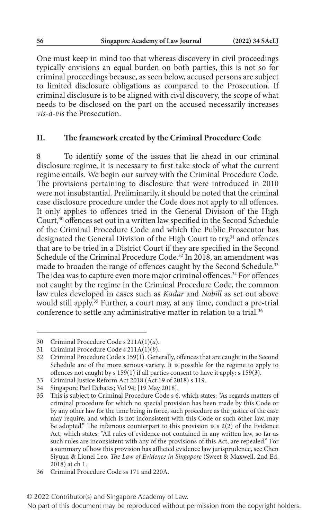One must keep in mind too that whereas discovery in civil proceedings typically envisions an equal burden on both parties, this is not so for criminal proceedings because, as seen below, accused persons are subject to limited disclosure obligations as compared to the Prosecution. If criminal disclosure is to be aligned with civil discovery, the scope of what needs to be disclosed on the part on the accused necessarily increases *vis-à-vis* the Prosecution.

#### **II. The framework created by the Criminal Procedure Code**

8 To identify some of the issues that lie ahead in our criminal disclosure regime, it is necessary to first take stock of what the current regime entails. We begin our survey with the Criminal Procedure Code. The provisions pertaining to disclosure that were introduced in 2010 were not insubstantial. Preliminarily, it should be noted that the criminal case disclosure procedure under the Code does not apply to all offences. It only applies to offences tried in the General Division of the High Court,<sup>30</sup> offences set out in a written law specified in the Second Schedule of the Criminal Procedure Code and which the Public Prosecutor has designated the General Division of the High Court to try,<sup>31</sup> and offences that are to be tried in a District Court if they are specified in the Second Schedule of the Criminal Procedure Code.<sup>32</sup> In 2018, an amendment was made to broaden the range of offences caught by the Second Schedule.<sup>33</sup> The idea was to capture even more major criminal offences.<sup>34</sup> For offences not caught by the regime in the Criminal Procedure Code, the common law rules developed in cases such as *Kadar* and *Nabill* as set out above would still apply.35 Further, a court may, at any time, conduct a pre-trial conference to settle any administrative matter in relation to a trial.<sup>36</sup>

<sup>30</sup> Criminal Procedure Code s 211A(1)(*a*).

<sup>31</sup> Criminal Procedure Code s 211A(1)(*b*).

<sup>32</sup> Criminal Procedure Code s 159(1). Generally, offences that are caught in the Second Schedule are of the more serious variety. It is possible for the regime to apply to offences not caught by s 159(1) if all parties consent to have it apply: s 159(3).

<sup>33</sup> Criminal Justice Reform Act 2018 (Act 19 of 2018) s 119.

<sup>34</sup> Singapore Parl Debates; Vol 94; [19 May 2018].

<sup>35</sup> This is subject to Criminal Procedure Code s 6, which states: "As regards matters of criminal procedure for which no special provision has been made by this Code or by any other law for the time being in force, such procedure as the justice of the case may require, and which is not inconsistent with this Code or such other law, may be adopted." The infamous counterpart to this provision is s 2(2) of the Evidence Act, which states: "All rules of evidence not contained in any written law, so far as such rules are inconsistent with any of the provisions of this Act, are repealed." For a summary of how this provision has afflicted evidence law jurisprudence, see Chen Siyuan & Lionel Leo, *The Law of Evidence in Singapore* (Sweet & Maxwell, 2nd Ed, 2018) at ch 1.

<sup>36</sup> Criminal Procedure Code ss 171 and 220A.

No part of this document may be reproduced without permission from the copyright holders.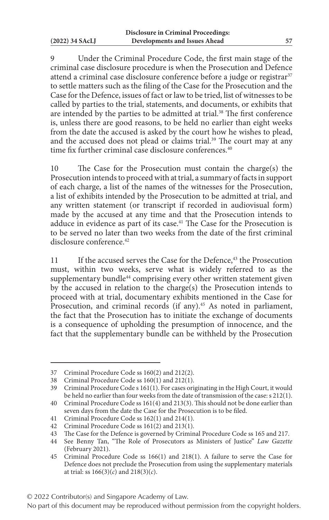9 Under the Criminal Procedure Code, the first main stage of the criminal case disclosure procedure is when the Prosecution and Defence attend a criminal case disclosure conference before a judge or registrar<sup>37</sup> to settle matters such as the filing of the Case for the Prosecution and the Case for the Defence, issues of fact or law to be tried, list of witnesses to be called by parties to the trial, statements, and documents, or exhibits that are intended by the parties to be admitted at trial.<sup>38</sup> The first conference is, unless there are good reasons, to be held no earlier than eight weeks from the date the accused is asked by the court how he wishes to plead, and the accused does not plead or claims trial.<sup>39</sup> The court may at any time fix further criminal case disclosure conferences.<sup>40</sup>

10 The Case for the Prosecution must contain the charge(s) the Prosecution intends to proceed with at trial, a summary of facts in support of each charge, a list of the names of the witnesses for the Prosecution, a list of exhibits intended by the Prosecution to be admitted at trial, and any written statement (or transcript if recorded in audiovisual form) made by the accused at any time and that the Prosecution intends to adduce in evidence as part of its case.<sup>41</sup> The Case for the Prosecution is to be served no later than two weeks from the date of the first criminal disclosure conference<sup>42</sup>

11 If the accused serves the Case for the Defence,<sup>43</sup> the Prosecution must, within two weeks, serve what is widely referred to as the supplementary bundle<sup>44</sup> comprising every other written statement given by the accused in relation to the charge(s) the Prosecution intends to proceed with at trial, documentary exhibits mentioned in the Case for Prosecution, and criminal records (if any).<sup>45</sup> As noted in parliament, the fact that the Prosecution has to initiate the exchange of documents is a consequence of upholding the presumption of innocence, and the fact that the supplementary bundle can be withheld by the Prosecution

<sup>37</sup> Criminal Procedure Code ss 160(2) and 212(2).

<sup>38</sup> Criminal Procedure Code ss 160(1) and 212(1).<br>39 Criminal Procedure Code s 161(1). For cases ori

<sup>39</sup> Criminal Procedure Code s 161(1). For cases originating in the High Court, it would be held no earlier than four weeks from the date of transmission of the case: s 212(1).

<sup>40</sup> Criminal Procedure Code ss 161(4) and 213(3). This should not be done earlier than seven days from the date the Case for the Prosecution is to be filed.

<sup>41</sup> Criminal Procedure Code ss 162(1) and 214(1).

<sup>42</sup> Criminal Procedure Code ss 161(2) and 213(1).

<sup>43</sup> The Case for the Defence is governed by Criminal Procedure Code ss 165 and 217.

<sup>44</sup> See Benny Tan, "The Role of Prosecutors as Ministers of Justice" *Law Gazette* (February 2021).

<sup>45</sup> Criminal Procedure Code ss 166(1) and 218(1). A failure to serve the Case for Defence does not preclude the Prosecution from using the supplementary materials at trial: ss 166(3)(*c*) and 218(3)(*c*).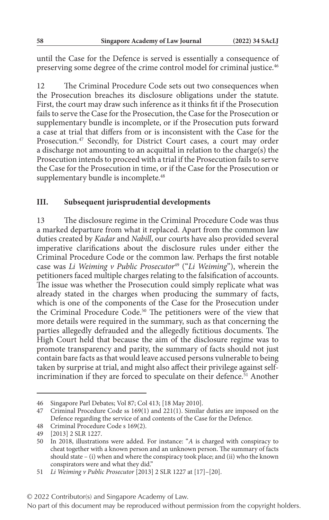until the Case for the Defence is served is essentially a consequence of preserving some degree of the crime control model for criminal justice.<sup>46</sup>

12 The Criminal Procedure Code sets out two consequences when the Prosecution breaches its disclosure obligations under the statute. First, the court may draw such inference as it thinks fit if the Prosecution fails to serve the Case for the Prosecution, the Case for the Prosecution or supplementary bundle is incomplete, or if the Prosecution puts forward a case at trial that differs from or is inconsistent with the Case for the Prosecution.<sup>47</sup> Secondly, for District Court cases, a court may order a discharge not amounting to an acquittal in relation to the charge(s) the Prosecution intends to proceed with a trial if the Prosecution fails to serve the Case for the Prosecution in time, or if the Case for the Prosecution or supplementary bundle is incomplete.<sup>48</sup>

### **III. Subsequent jurisprudential developments**

13 The disclosure regime in the Criminal Procedure Code was thus a marked departure from what it replaced. Apart from the common law duties created by *Kadar* and *Nabill*, our courts have also provided several imperative clarifications about the disclosure rules under either the Criminal Procedure Code or the common law. Perhaps the first notable case was *Li Weiming v Public Prosecutor*49 ("*Li Weiming*"), wherein the petitioners faced multiple charges relating to the falsification of accounts. The issue was whether the Prosecution could simply replicate what was already stated in the charges when producing the summary of facts, which is one of the components of the Case for the Prosecution under the Criminal Procedure Code.50 The petitioners were of the view that more details were required in the summary, such as that concerning the parties allegedly defrauded and the allegedly fictitious documents. The High Court held that because the aim of the disclosure regime was to promote transparency and parity, the summary of facts should not just contain bare facts as that would leave accused persons vulnerable to being taken by surprise at trial, and might also affect their privilege against selfincrimination if they are forced to speculate on their defence.<sup>51</sup> Another

<sup>46</sup> Singapore Parl Debates; Vol 87; Col 413; [18 May 2010].

<sup>47</sup> Criminal Procedure Code ss 169(1) and 221(1). Similar duties are imposed on the Defence regarding the service of and contents of the Case for the Defence.

<sup>48</sup> Criminal Procedure Code s 169(2).

<sup>49</sup> [2013] 2 SLR 1227.

<sup>50</sup> In 2018, illustrations were added. For instance: "*A* is charged with conspiracy to cheat together with a known person and an unknown person. The summary of facts should state – (i) when and where the conspiracy took place; and (ii) who the known conspirators were and what they did."

<sup>51</sup> *Li Weiming v Public Prosecutor* [2013] 2 SLR 1227 at [17]–[20].

<sup>© 2022</sup> Contributor(s) and Singapore Academy of Law.

No part of this document may be reproduced without permission from the copyright holders.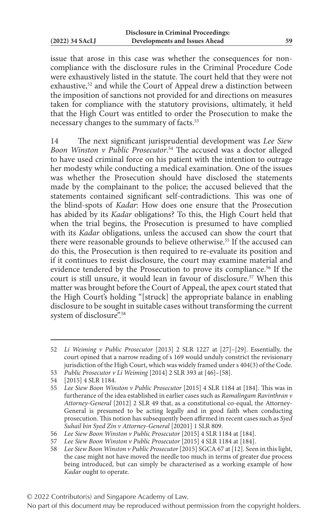issue that arose in this case was whether the consequences for noncompliance with the disclosure rules in the Criminal Procedure Code were exhaustively listed in the statute. The court held that they were not exhaustive,<sup>52</sup> and while the Court of Appeal drew a distinction between the imposition of sanctions not provided for and directions on measures taken for compliance with the statutory provisions, ultimately, it held that the High Court was entitled to order the Prosecution to make the necessary changes to the summary of facts.<sup>53</sup>

14 The next significant jurisprudential development was *Lee Siew Boon Winston v Public Prosecutor*. 54 The accused was a doctor alleged to have used criminal force on his patient with the intention to outrage her modesty while conducting a medical examination. One of the issues was whether the Prosecution should have disclosed the statements made by the complainant to the police; the accused believed that the statements contained significant self-contradictions. This was one of the blind-spots of *Kadar*: How does one ensure that the Prosecution has abided by its *Kadar* obligations? To this, the High Court held that when the trial begins, the Prosecution is presumed to have complied with its *Kadar* obligations, unless the accused can show the court that there were reasonable grounds to believe otherwise.<sup>55</sup> If the accused can do this, the Prosecution is then required to re-evaluate its position and if it continues to resist disclosure, the court may examine material and evidence tendered by the Prosecution to prove its compliance.<sup>56</sup> If the court is still unsure, it would lean in favour of disclosure.<sup>57</sup> When this matter was brought before the Court of Appeal, the apex court stated that the High Court's holding "[struck] the appropriate balance in enabling disclosure to be sought in suitable cases without transforming the current system of disclosure".<sup>58</sup>

<sup>52</sup> *Li Weiming v Public Prosecutor* [2013] 2 SLR 1227 at [27]–[29]. Essentially, the court opined that a narrow reading of s 169 would unduly constrict the revisionary jurisdiction of the High Court, which was widely framed under s 404(3) of the Code.

<sup>53</sup> *Public Prosecutor v Li Weiming* [2014] 2 SLR 393 at [46]–[58].

<sup>54</sup> [2015] 4 SLR 1184.

<sup>55</sup> *Lee Siew Boon Winston v Public Prosecutor* [2015] 4 SLR 1184 at [184]. This was in furtherance of the idea established in earlier cases such as *Ramalingam Ravinthran v Attorney-General* [2012] 2 SLR 49 that, as a constitutional co-equal, the Attorney-General is presumed to be acting legally and in good faith when conducting prosecution. This notion has subsequently been affirmed in recent cases such as *Syed Suhail bin Syed Zin v Attorney-General* [20201] 1 SLR 809.

<sup>56</sup> *Lee Siew Boon Winston v Public Prosecutor* [2015] 4 SLR 1184 at [184].

<sup>57</sup> *Lee Siew Boon Winston v Public Prosecutor* [2015] 4 SLR 1184 at [184].

<sup>58</sup> *Lee Siew Boon Winston v Public Prosecutor* [2015] SGCA 67 at [12]. Seen in this light, the case might not have moved the needle too much in terms of greater due process being introduced, but can simply be characterised as a working example of how *Kadar* ought to operate.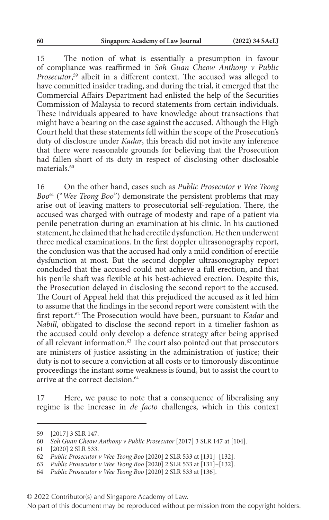15 The notion of what is essentially a presumption in favour of compliance was reaffirmed in *Soh Guan Cheow Anthony v Public Prosecutor*, 59 albeit in a different context. The accused was alleged to have committed insider trading, and during the trial, it emerged that the Commercial Affairs Department had enlisted the help of the Securities Commission of Malaysia to record statements from certain individuals. These individuals appeared to have knowledge about transactions that might have a bearing on the case against the accused. Although the High Court held that these statements fell within the scope of the Prosecution's duty of disclosure under *Kadar*, this breach did not invite any inference that there were reasonable grounds for believing that the Prosecution had fallen short of its duty in respect of disclosing other disclosable materials<sup>60</sup>

16 On the other hand, cases such as *Public Prosecutor v Wee Teong Boo*61 ("*Wee Teong Boo*") demonstrate the persistent problems that may arise out of leaving matters to prosecutorial self-regulation. There, the accused was charged with outrage of modesty and rape of a patient via penile penetration during an examination at his clinic. In his cautioned statement, he claimed that he had erectile dysfunction. He then underwent three medical examinations. In the first doppler ultrasonography report, the conclusion was that the accused had only a mild condition of erectile dysfunction at most. But the second doppler ultrasonography report concluded that the accused could not achieve a full erection, and that his penile shaft was flexible at his best-achieved erection. Despite this, the Prosecution delayed in disclosing the second report to the accused. The Court of Appeal held that this prejudiced the accused as it led him to assume that the findings in the second report were consistent with the first report.62 The Prosecution would have been, pursuant to *Kadar* and *Nabill*, obligated to disclose the second report in a timelier fashion as the accused could only develop a defence strategy after being apprised of all relevant information.63 The court also pointed out that prosecutors are ministers of justice assisting in the administration of justice; their duty is not to secure a conviction at all costs or to timorously discontinue proceedings the instant some weakness is found, but to assist the court to arrive at the correct decision.<sup>64</sup>

17 Here, we pause to note that a consequence of liberalising any regime is the increase in *de facto* challenges, which in this context

<sup>59</sup> [2017] 3 SLR 147.

<sup>60</sup> *Soh Guan Cheow Anthony v Public Prosecutor* [2017] 3 SLR 147 at [104].

<sup>61</sup> [2020] 2 SLR 533.

<sup>62</sup> *Public Prosecutor v Wee Teong Boo* [2020] 2 SLR 533 at [131]–[132].

<sup>63</sup> *Public Prosecutor v Wee Teong Boo* [2020] 2 SLR 533 at [131]–[132].

<sup>64</sup> *Public Prosecutor v Wee Teong Boo* [2020] 2 SLR 533 at [136].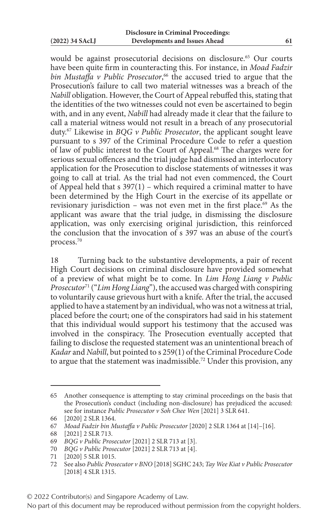would be against prosecutorial decisions on disclosure.<sup>65</sup> Our courts have been quite firm in counteracting this. For instance, in *Moad Fadzir bin Mustaffa v Public Prosecutor*, 66 the accused tried to argue that the Prosecution's failure to call two material witnesses was a breach of the *Nabill* obligation. However, the Court of Appeal rebuffed this, stating that the identities of the two witnesses could not even be ascertained to begin with, and in any event, *Nabill* had already made it clear that the failure to call a material witness would not result in a breach of any prosecutorial duty.67 Likewise in *BQG v Public Prosecutor*, the applicant sought leave pursuant to s 397 of the Criminal Procedure Code to refer a question of law of public interest to the Court of Appeal.68 The charges were for serious sexual offences and the trial judge had dismissed an interlocutory application for the Prosecution to disclose statements of witnesses it was going to call at trial. As the trial had not even commenced, the Court of Appeal held that  $s$  397(1) – which required a criminal matter to have been determined by the High Court in the exercise of its appellate or revisionary jurisdiction – was not even met in the first place.<sup>69</sup> As the applicant was aware that the trial judge, in dismissing the disclosure application, was only exercising original jurisdiction, this reinforced the conclusion that the invocation of s 397 was an abuse of the court's process.70

18 Turning back to the substantive developments, a pair of recent High Court decisions on criminal disclosure have provided somewhat of a preview of what might be to come. In *Lim Hong Liang v Public Prosecutor*71 ("*Lim Hong Liang*"), the accused was charged with conspiring to voluntarily cause grievous hurt with a knife. After the trial, the accused applied to have a statement by an individual, who was not a witness at trial, placed before the court; one of the conspirators had said in his statement that this individual would support his testimony that the accused was involved in the conspiracy. The Prosecution eventually accepted that failing to disclose the requested statement was an unintentional breach of *Kadar* and *Nabill*, but pointed to s 259(1) of the Criminal Procedure Code to argue that the statement was inadmissible.<sup>72</sup> Under this provision, any

<sup>65</sup> Another consequence is attempting to stay criminal proceedings on the basis that the Prosecution's conduct (including non-disclosure) has prejudiced the accused: see for instance *Public Prosecutor v Soh Chee Wen* [2021] 3 SLR 641.

<sup>66</sup> [2020] 2 SLR 1364.

<sup>67</sup> *Moad Fadzir bin Mustaffa v Public Prosecutor* [2020] 2 SLR 1364 at [14]–[16].

<sup>68</sup> [2021] 2 SLR 713.

<sup>69</sup> *BQG v Public Prosecutor* [2021] 2 SLR 713 at [3].

<sup>70</sup> *BQG v Public Prosecutor* [2021] 2 SLR 713 at [4].

<sup>71</sup> [2020] 5 SLR 1015.

<sup>72</sup> See also *Public Prosecutor v BNO* [2018] SGHC 243; *Tay Wee Kiat v Public Prosecutor* [2018] 4 SLR 1315.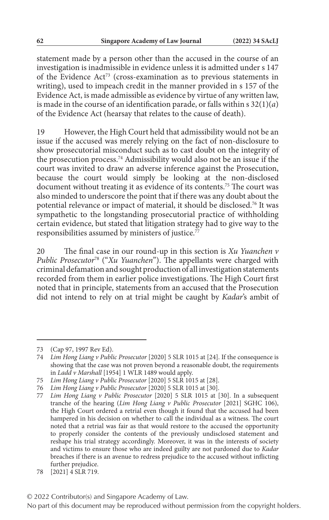statement made by a person other than the accused in the course of an investigation is inadmissible in evidence unless it is admitted under s 147 of the Evidence Act<sup>73</sup> (cross-examination as to previous statements in writing), used to impeach credit in the manner provided in s 157 of the Evidence Act, is made admissible as evidence by virtue of any written law, is made in the course of an identification parade, or falls within s 32(1)(*a*) of the Evidence Act (hearsay that relates to the cause of death).

19 However, the High Court held that admissibility would not be an issue if the accused was merely relying on the fact of non-disclosure to show prosecutorial misconduct such as to cast doubt on the integrity of the prosecution process.74 Admissibility would also not be an issue if the court was invited to draw an adverse inference against the Prosecution, because the court would simply be looking at the non-disclosed document without treating it as evidence of its contents.75 The court was also minded to underscore the point that if there was any doubt about the potential relevance or impact of material, it should be disclosed.76 It was sympathetic to the longstanding prosecutorial practice of withholding certain evidence, but stated that litigation strategy had to give way to the responsibilities assumed by ministers of justice.<sup>77</sup>

20 The final case in our round-up in this section is *Xu Yuanchen v Public Prosecutor*78 ("*Xu Yuanchen*"). The appellants were charged with criminal defamation and sought production of all investigation statements recorded from them in earlier police investigations. The High Court first noted that in principle, statements from an accused that the Prosecution did not intend to rely on at trial might be caught by *Kadar*'s ambit of

<sup>73</sup> (Cap 97, 1997 Rev Ed).

<sup>74</sup> *Lim Hong Liang v Public Prosecutor* [2020] 5 SLR 1015 at [24]. If the consequence is showing that the case was not proven beyond a reasonable doubt, the requirements in *Ladd v Marshall* [1954] 1 WLR 1489 would apply.

<sup>75</sup> *Lim Hong Liang v Public Prosecutor* [2020] 5 SLR 1015 at [28].

<sup>76</sup> *Lim Hong Liang v Public Prosecutor* [2020] 5 SLR 1015 at [30].

<sup>77</sup> *Lim Hong Liang v Public Prosecutor* [2020] 5 SLR 1015 at [30]. In a subsequent tranche of the hearing (*Lim Hong Liang v Public Prosecutor* [2021] SGHC 106), the High Court ordered a retrial even though it found that the accused had been hampered in his decision on whether to call the individual as a witness. The court noted that a retrial was fair as that would restore to the accused the opportunity to properly consider the contents of the previously undisclosed statement and reshape his trial strategy accordingly. Moreover, it was in the interests of society and victims to ensure those who are indeed guilty are not pardoned due to *Kadar* breaches if there is an avenue to redress prejudice to the accused without inflicting further prejudice.

<sup>78</sup> [2021] 4 SLR 719.

No part of this document may be reproduced without permission from the copyright holders.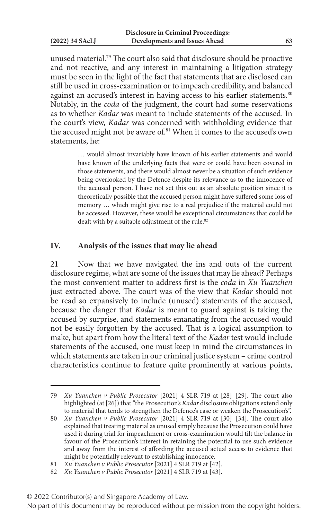unused material.79 The court also said that disclosure should be proactive and not reactive, and any interest in maintaining a litigation strategy must be seen in the light of the fact that statements that are disclosed can still be used in cross-examination or to impeach credibility, and balanced against an accused's interest in having access to his earlier statements.<sup>80</sup> Notably, in the *coda* of the judgment, the court had some reservations as to whether *Kadar* was meant to include statements of the accused. In the court's view, *Kadar* was concerned with withholding evidence that the accused might not be aware of.<sup>81</sup> When it comes to the accused's own statements, he:

> … would almost invariably have known of his earlier statements and would have known of the underlying facts that were or could have been covered in those statements, and there would almost never be a situation of such evidence being overlooked by the Defence despite its relevance as to the innocence of the accused person. I have not set this out as an absolute position since it is theoretically possible that the accused person might have suffered some loss of memory … which might give rise to a real prejudice if the material could not be accessed. However, these would be exceptional circumstances that could be dealt with by a suitable adjustment of the rule.<sup>82</sup>

## **IV. Analysis of the issues that may lie ahead**

21 Now that we have navigated the ins and outs of the current disclosure regime, what are some of the issues that may lie ahead? Perhaps the most convenient matter to address first is the *coda* in *Xu Yuanchen* just extracted above. The court was of the view that *Kadar* should not be read so expansively to include (unused) statements of the accused, because the danger that *Kadar* is meant to guard against is taking the accused by surprise, and statements emanating from the accused would not be easily forgotten by the accused. That is a logical assumption to make, but apart from how the literal text of the *Kadar* test would include statements of the accused, one must keep in mind the circumstances in which statements are taken in our criminal justice system – crime control characteristics continue to feature quite prominently at various points,

<sup>79</sup> *Xu Yuanchen v Public Prosecutor* [2021] 4 SLR 719 at [28]–[29]. The court also highlighted (at [26]) that "the Prosecution's *Kadar* disclosure obligations extend only to material that tends to strengthen the Defence's case or weaken the Prosecution's".

<sup>80</sup> *Xu Yuanchen v Public Prosecutor* [2021] 4 SLR 719 at [30]–[34]. The court also explained that treating material as unused simply because the Prosecution could have used it during trial for impeachment or cross-examination would tilt the balance in favour of the Prosecution's interest in retaining the potential to use such evidence and away from the interest of affording the accused actual access to evidence that might be potentially relevant to establishing innocence.

<sup>81</sup> *Xu Yuanchen v Public Prosecutor* [2021] 4 SLR 719 at [42].

<sup>82</sup> *Xu Yuanchen v Public Prosecutor* [2021] 4 SLR 719 at [43].

<sup>© 2022</sup> Contributor(s) and Singapore Academy of Law.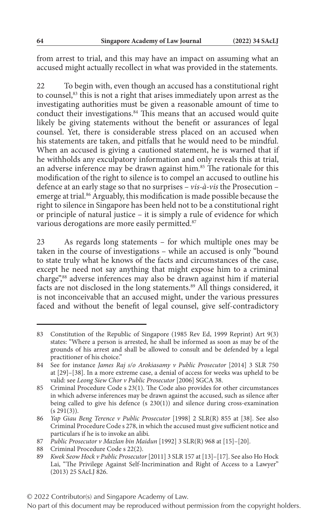from arrest to trial, and this may have an impact on assuming what an accused might actually recollect in what was provided in the statements.

22 To begin with, even though an accused has a constitutional right to counsel,<sup>83</sup> this is not a right that arises immediately upon arrest as the investigating authorities must be given a reasonable amount of time to conduct their investigations.<sup>84</sup> This means that an accused would quite likely be giving statements without the benefit or assurances of legal counsel. Yet, there is considerable stress placed on an accused when his statements are taken, and pitfalls that he would need to be mindful. When an accused is giving a cautioned statement, he is warned that if he withholds any exculpatory information and only reveals this at trial, an adverse inference may be drawn against him.<sup>85</sup> The rationale for this modification of the right to silence is to compel an accused to outline his defence at an early stage so that no surprises – *vis-à-vis* the Prosecution – emerge at trial.<sup>86</sup> Arguably, this modification is made possible because the right to silence in Singapore has been held not to be a constitutional right or principle of natural justice – it is simply a rule of evidence for which various derogations are more easily permitted.<sup>87</sup>

23 As regards long statements – for which multiple ones may be taken in the course of investigations – while an accused is only "bound to state truly what he knows of the facts and circumstances of the case, except he need not say anything that might expose him to a criminal charge",88 adverse inferences may also be drawn against him if material facts are not disclosed in the long statements.89 All things considered, it is not inconceivable that an accused might, under the various pressures faced and without the benefit of legal counsel, give self-contradictory

<sup>83</sup> Constitution of the Republic of Singapore (1985 Rev Ed, 1999 Reprint) Art 9(3) states: "Where a person is arrested, he shall be informed as soon as may be of the grounds of his arrest and shall be allowed to consult and be defended by a legal practitioner of his choice."

<sup>84</sup> See for instance *James Raj s/o Arokiasamy v Public Prosecutor* [2014] 3 SLR 750 at [29]–[38]. In a more extreme case, a denial of access for weeks was upheld to be valid: see *Leong Siew Chor v Public Prosecutor* [2006] SGCA 38.

<sup>85</sup> Criminal Procedure Code s 23(1). The Code also provides for other circumstances in which adverse inferences may be drawn against the accused, such as silence after being called to give his defence (s 230(1)) and silence during cross-examination  $(s 291(3))$ .

<sup>86</sup> *Yap Giau Beng Terence v Public Prosecutor* [1998] 2 SLR(R) 855 at [38]. See also Criminal Procedure Code s 278, in which the accused must give sufficient notice and particulars if he is to invoke an alibi.

<sup>87</sup> *Public Prosecutor v Mazlan bin Maidun* [1992] 3 SLR(R) 968 at [15]–[20].

<sup>88</sup> Criminal Procedure Code s 22(2).

<sup>89</sup> *Kwek Seow Hock v Public Prosecutor* [2011] 3 SLR 157 at [13]–[17]. See also Ho Hock Lai, "The Privilege Against Self-Incrimination and Right of Access to a Lawyer" (2013) 25 SAcLJ 826.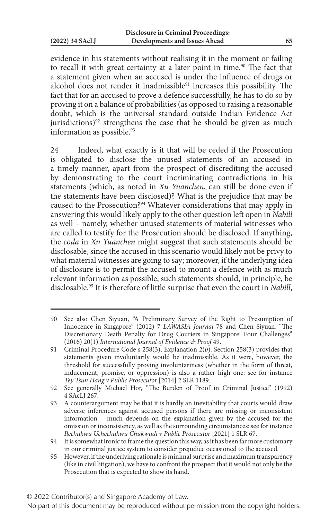evidence in his statements without realising it in the moment or failing to recall it with great certainty at a later point in time.<sup>90</sup> The fact that a statement given when an accused is under the influence of drugs or alcohol does not render it inadmissible<sup>91</sup> increases this possibility. The fact that for an accused to prove a defence successfully, he has to do so by proving it on a balance of probabilities (as opposed to raising a reasonable doubt, which is the universal standard outside Indian Evidence Act jurisdictions)<sup>92</sup> strengthens the case that he should be given as much information as possible. $93$ 

24 Indeed, what exactly is it that will be ceded if the Prosecution is obligated to disclose the unused statements of an accused in a timely manner, apart from the prospect of discrediting the accused by demonstrating to the court incriminating contradictions in his statements (which, as noted in *Xu Yuanchen*, can still be done even if the statements have been disclosed)? What is the prejudice that may be caused to the Prosecution?<sup>94</sup> Whatever considerations that may apply in answering this would likely apply to the other question left open in *Nabill* as well – namely, whether unused statements of material witnesses who are called to testify for the Prosecution should be disclosed. If anything, the *coda* in *Xu Yuanchen* might suggest that such statements should be disclosable, since the accused in this scenario would likely not be privy to what material witnesses are going to say; moreover, if the underlying idea of disclosure is to permit the accused to mount a defence with as much relevant information as possible, such statements should, in principle, be disclosable.95 It is therefore of little surprise that even the court in *Nabill*,

<sup>90</sup> See also Chen Siyuan, "A Preliminary Survey of the Right to Presumption of Innocence in Singapore" (2012) 7 *LAWASIA Journal* 78 and Chen Siyuan, "The Discretionary Death Penalty for Drug Couriers in Singapore: Four Challenges" (2016) 20(1) *International Journal of Evidence & Proof* 49.

<sup>91</sup> Criminal Procedure Code s 258(3), Explanation 2(*b*). Section 258(3) provides that statements given involuntarily would be inadmissible. As it were, however, the threshold for successfully proving involuntariness (whether in the form of threat, inducement, promise, or oppression) is also a rather high one: see for instance *Tey Tsun Hang v Public Prosecutor* [2014] 2 SLR 1189.

<sup>92</sup> See generally Michael Hor, "The Burden of Proof in Criminal Justice" (1992) 4 SAcLJ 267.

<sup>93</sup> A counterargument may be that it is hardly an inevitability that courts would draw adverse inferences against accused persons if there are missing or inconsistent information – much depends on the explanation given by the accused for the omission or inconsistency, as well as the surrounding circumstances: see for instance *Ilechukwu Uchechukwu Chukwudi v Public Prosecutor* [2021] 1 SLR 67.

<sup>94</sup> It is somewhat ironic to frame the question this way, as it has been far more customary in our criminal justice system to consider prejudice occasioned to the accused.

<sup>95</sup> However, if the underlying rationale is minimal surprise and maximum transparency (like in civil litigation), we have to confront the prospect that it would not only be the Prosecution that is expected to show its hand.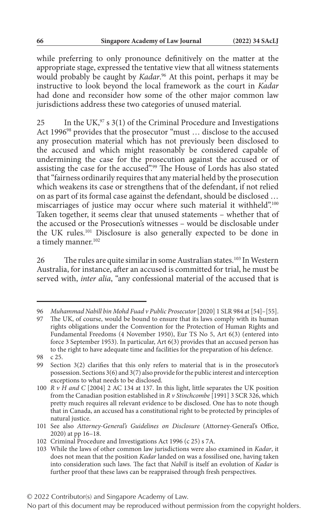while preferring to only pronounce definitively on the matter at the appropriate stage, expressed the tentative view that all witness statements would probably be caught by *Kadar*. 96 At this point, perhaps it may be instructive to look beyond the local framework as the court in *Kadar* had done and reconsider how some of the other major common law jurisdictions address these two categories of unused material.

25 In the UK,<sup>97</sup> s  $3(1)$  of the Criminal Procedure and Investigations Act 1996<sup>98</sup> provides that the prosecutor "must ... disclose to the accused any prosecution material which has not previously been disclosed to the accused and which might reasonably be considered capable of undermining the case for the prosecution against the accused or of assisting the case for the accused".<sup>99</sup> The House of Lords has also stated that "fairness ordinarily requires that any material held by the prosecution which weakens its case or strengthens that of the defendant, if not relied on as part of its formal case against the defendant, should be disclosed … miscarriages of justice may occur where such material it withheld".<sup>100</sup> Taken together, it seems clear that unused statements – whether that of the accused or the Prosecution's witnesses – would be disclosable under the UK rules.101 Disclosure is also generally expected to be done in a timely manner.<sup>102</sup>

26 The rules are quite similar in some Australian states.<sup>103</sup> In Western Australia, for instance, after an accused is committed for trial, he must be served with, *inter alia*, "any confessional material of the accused that is

<sup>96</sup> *Muhammad Nabill bin Mohd Fuad v Public Prosecutor* [2020] 1 SLR 984 at [54]–[55].

<sup>97</sup> The UK, of course, would be bound to ensure that its laws comply with its human rights obligations under the Convention for the Protection of Human Rights and Fundamental Freedoms (4 November 1950), Eur TS No 5, Art 6(3) (entered into force 3 September 1953). In particular, Art 6(3) provides that an accused person has to the right to have adequate time and facilities for the preparation of his defence.

<sup>98</sup> c 25.

<sup>99</sup> Section 3(2) clarifies that this only refers to material that is in the prosecutor's possession. Sections 3(6) and 3(7) also provide for the public interest and interception exceptions to what needs to be disclosed.

<sup>100</sup> *R v H and C* [2004] 2 AC 134 at 137. In this light, little separates the UK position from the Canadian position established in *R v Stinchcombe* [1991] 3 SCR 326, which pretty much requires all relevant evidence to be disclosed. One has to note though that in Canada, an accused has a constitutional right to be protected by principles of natural justice.

<sup>101</sup> See also *Attorney-General's Guidelines on Disclosure* (Attorney-General's Office, 2020) at pp 16–18.

<sup>102</sup> Criminal Procedure and Investigations Act 1996 (c 25) s 7A.

<sup>103</sup> While the laws of other common law jurisdictions were also examined in *Kadar*, it does not mean that the position *Kadar* landed on was a fossilised one, having taken into consideration such laws. The fact that *Nabill* is itself an evolution of *Kadar* is further proof that these laws can be reappraised through fresh perspectives.

<sup>© 2022</sup> Contributor(s) and Singapore Academy of Law.

No part of this document may be reproduced without permission from the copyright holders.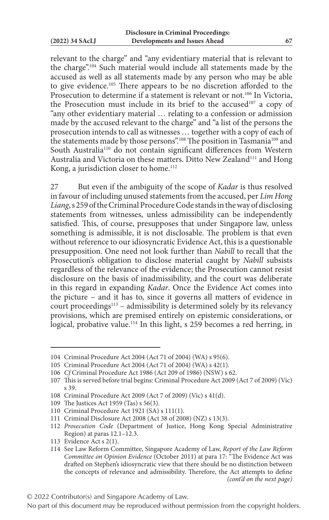relevant to the charge" and "any evidentiary material that is relevant to the charge".104 Such material would include all statements made by the accused as well as all statements made by any person who may be able to give evidence.105 There appears to be no discretion afforded to the Prosecution to determine if a statement is relevant or not.<sup>106</sup> In Victoria, the Prosecution must include in its brief to the accused<sup>107</sup> a copy of "any other evidentiary material … relating to a confession or admission made by the accused relevant to the charge" and "a list of the persons the prosecution intends to call as witnesses … together with a copy of each of the statements made by those persons".108 The position in Tasmania109 and South Australia<sup>110</sup> do not contain significant differences from Western Australia and Victoria on these matters. Ditto New Zealand<sup>111</sup> and Hong Kong, a jurisdiction closer to home.<sup>112</sup>

27 But even if the ambiguity of the scope of *Kadar* is thus resolved in favour of including unused statements from the accused, per *Lim Hong Liang*, s 259 of the Criminal Procedure Code stands in the way of disclosing statements from witnesses, unless admissibility can be independently satisfied. This, of course, presupposes that under Singapore law, unless something is admissible, it is not disclosable. The problem is that even without reference to our idiosyncratic Evidence Act, this is a questionable presupposition. One need not look further than *Nabill* to recall that the Prosecution's obligation to disclose material caught by *Nabill* subsists regardless of the relevance of the evidence; the Prosecution cannot resist disclosure on the basis of inadmissibility, and the court was deliberate in this regard in expanding *Kadar*. Once the Evidence Act comes into the picture – and it has to, since it governs all matters of evidence in court proceedings $113$  – admissibility is determined solely by its relevancy provisions, which are premised entirely on epistemic considerations, or logical, probative value.114 In this light, s 259 becomes a red herring, in

109 The Justices Act 1959 (Tas) s 56(3).

<sup>104</sup> Criminal Procedure Act 2004 (Act 71 of 2004) (WA) s 95(6).

<sup>105</sup> Criminal Procedure Act 2004 (Act 71 of 2004) (WA) s 42(1).

<sup>106</sup> *Cf* Criminal Procedure Act 1986 (Act 209 of 1986) (NSW) s 62.

<sup>107</sup> This is served before trial begins: Criminal Procedure Act 2009 (Act 7 of 2009) (Vic) s 39.

<sup>108</sup> Criminal Procedure Act 2009 (Act 7 of 2009) (Vic) s 41(d).

<sup>110</sup> Criminal Procedure Act 1921 (SA) s 111(1).

<sup>111</sup> Criminal Disclosure Act 2008 (Act 38 of 2008) (NZ) s 13(3).

<sup>112</sup> *Prosecution Code* (Department of Justice, Hong Kong Special Administrative Region) at paras 12.1–12.3.

<sup>113</sup> Evidence Act s 2(1).

<sup>114</sup> See Law Reform Committee, Singapore Academy of Law, *Report of the Law Reform Committee on Opinion Evidence* (October 2011) at para 17: "The Evidence Act was drafted on Stephen's idiosyncratic view that there should be no distinction between the concepts of relevance and admissibility. Therefore, the Act attempts to define *(cont'd on the next page)*

No part of this document may be reproduced without permission from the copyright holders.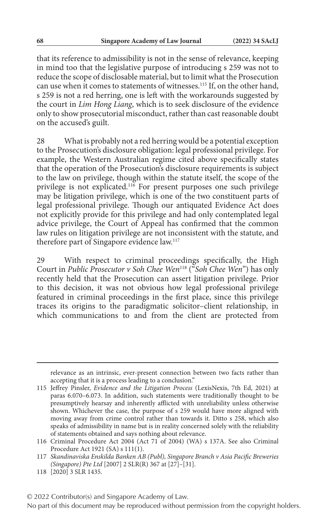that its reference to admissibility is not in the sense of relevance, keeping in mind too that the legislative purpose of introducing s 259 was not to reduce the scope of disclosable material, but to limit what the Prosecution can use when it comes to statements of witnesses.115 If, on the other hand, s 259 is not a red herring, one is left with the workarounds suggested by the court in *Lim Hong Liang*, which is to seek disclosure of the evidence only to show prosecutorial misconduct, rather than cast reasonable doubt on the accused's guilt.

28 What is probably not a red herring would be a potential exception to the Prosecution's disclosure obligation: legal professional privilege. For example, the Western Australian regime cited above specifically states that the operation of the Prosecution's disclosure requirements is subject to the law on privilege, though within the statute itself, the scope of the privilege is not explicated.<sup>116</sup> For present purposes one such privilege may be litigation privilege, which is one of the two constituent parts of legal professional privilege. Though our antiquated Evidence Act does not explicitly provide for this privilege and had only contemplated legal advice privilege, the Court of Appeal has confirmed that the common law rules on litigation privilege are not inconsistent with the statute, and therefore part of Singapore evidence law.117

29 With respect to criminal proceedings specifically, the High Court in *Public Prosecutor v Soh Chee Wen*118 ("*Soh Chee Wen*") has only recently held that the Prosecution can assert litigation privilege. Prior to this decision, it was not obvious how legal professional privilege featured in criminal proceedings in the first place, since this privilege traces its origins to the paradigmatic solicitor–client relationship, in which communications to and from the client are protected from

relevance as an intrinsic, ever-present connection between two facts rather than accepting that it is a process leading to a conclusion."

<sup>115</sup> Jeffrey Pinsler, *Evidence and the Litigation Process* (LexisNexis, 7th Ed, 2021) at paras 6.070–6.073. In addition, such statements were traditionally thought to be presumptively hearsay and inherently afflicted with unreliability unless otherwise shown. Whichever the case, the purpose of s 259 would have more aligned with moving away from crime control rather than towards it. Ditto s 258, which also speaks of admissibility in name but is in reality concerned solely with the reliability of statements obtained and says nothing about relevance.

<sup>116</sup> Criminal Procedure Act 2004 (Act 71 of 2004) (WA) s 137A. See also Criminal Procedure Act 1921 (SA) s 111(1).

<sup>117</sup> *Skandinaviska Enskilda Banken AB (Publ), Singapore Branch v Asia Pacific Breweries (Singapore) Pte Ltd* [2007] 2 SLR(R) 367 at [27]–[31].

<sup>118</sup> [2020] 3 SLR 1435.

No part of this document may be reproduced without permission from the copyright holders.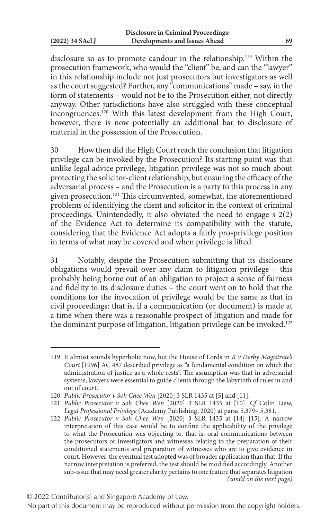disclosure so as to promote candour in the relationship.119 Within the prosecution framework, who would the "client" be, and can the "lawyer" in this relationship include not just prosecutors but investigators as well as the court suggested? Further, any "communications" made – say, in the form of statements – would not be to the Prosecution either, not directly anyway. Other jurisdictions have also struggled with these conceptual incongruences.<sup>120</sup> With this latest development from the High Court, however, there is now potentially an additional bar to disclosure of material in the possession of the Prosecution.

30 How then did the High Court reach the conclusion that litigation privilege can be invoked by the Prosecution? Its starting point was that unlike legal advice privilege, litigation privilege was not so much about protecting the solicitor-client relationship, but ensuring the efficacy of the adversarial process – and the Prosecution is a party to this process in any given prosecution.121 This circumvented, somewhat, the aforementioned problems of identifying the client and solicitor in the context of criminal proceedings. Unintendedly, it also obviated the need to engage s 2(2) of the Evidence Act to determine its compatibility with the statute, considering that the Evidence Act adopts a fairly pro-privilege position in terms of what may be covered and when privilege is lifted.

31 Notably, despite the Prosecution submitting that its disclosure obligations would prevail over any claim to litigation privilege – this probably being borne out of an obligation to project a sense of fairness and fidelity to its disclosure duties – the court went on to hold that the conditions for the invocation of privilege would be the same as that in civil proceedings: that is, if a communication (or document) is made at a time when there was a reasonable prospect of litigation and made for the dominant purpose of litigation, litigation privilege can be invoked.<sup>122</sup>

<sup>119</sup> It almost sounds hyperbolic now, but the House of Lords in *R v Derby Magistrate's Court* [1996] AC 487 described privilege as "a fundamental condition on which the administration of justice as a whole rests". The assumption was that in adversarial systems, lawyers were essential to guide clients through the labyrinth of rules in and out of court.

<sup>120</sup> *Public Prosecutor v Soh Chee Wen* [2020] 3 SLR 1435 at [5] and [11].

<sup>121</sup> *Public Prosecutor v Soh Chee Wen* [2020] 3 SLR 1435 at [10]. *Cf* Colin Liew, *Legal Professional Privilege* (Academy Publishing, 2020) at paras 5.379– 5.381.

<sup>122</sup> *Public Prosecutor v Soh Chee Wen* [2020] 3 SLR 1435 at [14]–[15]. A narrow interpretation of this case would be to confine the applicability of the privilege to what the Prosecution was objecting to, that is, oral communications between the prosecutors or investigators and witnesses relating to the preparation of their conditioned statements and preparation of witnesses who are to give evidence in court. However, the eventual test adopted was of broader application than that. If the narrow interpretation is preferred, the test should be modified accordingly. Another sub-issue that may need greater clarity pertains to one feature that separates litigation *(cont'd on the next page)*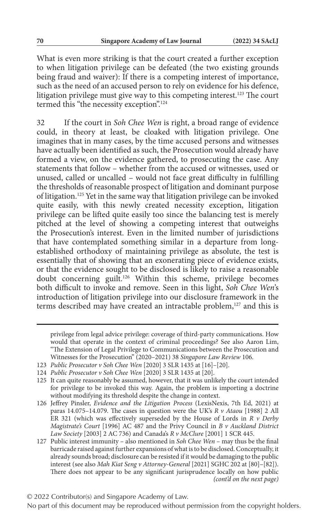What is even more striking is that the court created a further exception to when litigation privilege can be defeated (the two existing grounds being fraud and waiver): If there is a competing interest of importance, such as the need of an accused person to rely on evidence for his defence, litigation privilege must give way to this competing interest.<sup>123</sup> The court termed this "the necessity exception".<sup>124</sup>

32 If the court in *Soh Chee Wen* is right, a broad range of evidence could, in theory at least, be cloaked with litigation privilege. One imagines that in many cases, by the time accused persons and witnesses have actually been identified as such, the Prosecution would already have formed a view, on the evidence gathered, to prosecuting the case. Any statements that follow – whether from the accused or witnesses, used or unused, called or uncalled – would not face great difficulty in fulfilling the thresholds of reasonable prospect of litigation and dominant purpose of litigation.125 Yet in the same way that litigation privilege can be invoked quite easily, with this newly created necessity exception, litigation privilege can be lifted quite easily too since the balancing test is merely pitched at the level of showing a competing interest that outweighs the Prosecution's interest. Even in the limited number of jurisdictions that have contemplated something similar in a departure from longestablished orthodoxy of maintaining privilege as absolute, the test is essentially that of showing that an exonerating piece of evidence exists, or that the evidence sought to be disclosed is likely to raise a reasonable doubt concerning guilt.126 Within this scheme, privilege becomes both difficult to invoke and remove. Seen in this light, *Soh Chee Wen*'s introduction of litigation privilege into our disclosure framework in the terms described may have created an intractable problem,<sup>127</sup> and this is

privilege from legal advice privilege: coverage of third-party communications. How would that operate in the context of criminal proceedings? See also Aaron Lim, "The Extension of Legal Privilege to Communications between the Prosecution and Witnesses for the Prosecution" (2020–2021) 38 *Singapore Law Review* 106.

- 123 *Public Prosecutor v Soh Chee Wen* [2020] 3 SLR 1435 at [16]–[20].
- 124 *Public Prosecutor v Soh Chee Wen* [2020] 3 SLR 1435 at [20].
- 125 It can quite reasonably be assumed, however, that it was unlikely the court intended for privilege to be invoked this way. Again, the problem is importing a doctrine without modifying its threshold despite the change in context.
- 126 Jeffrey Pinsler, *Evidence and the Litigation Process* (LexisNexis, 7th Ed, 2021) at paras 14.075–14.079. The cases in question were the UK's *R v Ataou* [1988] 2 All ER 321 (which was effectively superseded by the House of Lords in *R v Derby Magistrate's Court* [1996] AC 487 and the Privy Council in *B v Auckland District Law Society* [2003] 2 AC 736) and Canada's *R v McClure* [2001] 1 SCR 445.
- 127 Public interest immunity also mentioned in *Soh Chee Wen* may thus be the final barricade raised against further expansions of what is to be disclosed. Conceptually, it already sounds broad; disclosure can be resisted if it would be damaging to the public interest (see also *Mah Kiat Seng v Attorney-General* [2021] SGHC 202 at [80]–[82]). There does not appear to be any significant jurisprudence locally on how public *(cont'd on the next page)*

© 2022 Contributor(s) and Singapore Academy of Law.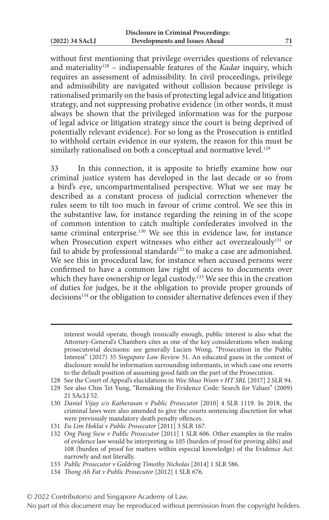without first mentioning that privilege overrides questions of relevance and materiality<sup>128</sup> – indispensable features of the *Kadar* inquiry, which requires an assessment of admissibility. In civil proceedings, privilege and admissibility are navigated without collision because privilege is rationalised primarily on the basis of protecting legal advice and litigation strategy, and not suppressing probative evidence (in other words, it must always be shown that the privileged information was for the purpose of legal advice or litigation strategy since the court is being deprived of potentially relevant evidence). For so long as the Prosecution is entitled to withhold certain evidence in our system, the reason for this must be similarly rationalised on both a conceptual and normative level.<sup>129</sup>

33 In this connection, it is apposite to briefly examine how our criminal justice system has developed in the last decade or so from a bird's eye, uncompartmentalised perspective. What we see may be described as a constant process of judicial correction whenever the rules seem to tilt too much in favour of crime control. We see this in the substantive law, for instance regarding the reining in of the scope of common intention to catch multiple confederates involved in the same criminal enterprise.<sup>130</sup> We see this in evidence law, for instance when Prosecution expert witnesses who either act overzealously<sup>131</sup> or fail to abide by professional standards $132$  to make a case are admonished. We see this in procedural law, for instance when accused persons were confirmed to have a common law right of access to documents over which they have ownership or legal custody.<sup>133</sup> We see this in the creation of duties for judges, be it the obligation to provide proper grounds of decisions<sup>134</sup> or the obligation to consider alternative defences even if they

128 See the Court of Appeal's elucidations in *Wee Shuo Woon v HT SRL* [2017] 2 SLR 94.

- 130 *Daniel Vijay s/o Katherasan v Public Prosecutor* [2010] 4 SLR 1119. In 2018, the criminal laws were also amended to give the courts sentencing discretion for what were previously mandatory death penalty offences.
- 131 *Eu Lim Hoklai v Public Prosecutor* [2011] 3 SLR 167.
- 132 *Ong Pang Siew v Public Prosecutor* [2011] 1 SLR 606. Other examples in the realm of evidence law would be interpreting ss 105 (burden of proof for proving alibi) and 108 (burden of proof for matters within especial knowledge) of the Evidence Act narrowly and not literally.
- 133 *Public Prosecutor v Goldring Timothy Nicholas* [2014] 1 SLR 586.
- 134 *Thong Ah Fat v Public Prosecutor* [2012] 1 SLR 676.

interest would operate, though ironically enough, public interest is also what the Attorney-General's Chambers cites as one of the key considerations when making prosecutorial decisions: see generally Lucien Wong, "Prosecution in the Public Interest" (2017) 35 *Singapore Law Review* 31. An educated guess in the context of disclosure would be information surrounding informants, in which case one reverts to the default position of assuming good faith on the part of the Prosecution.

<sup>129</sup> See also Chin Tet Yung, "Remaking the Evidence Code: Search for Values" (2009) 21 SAcLJ 52.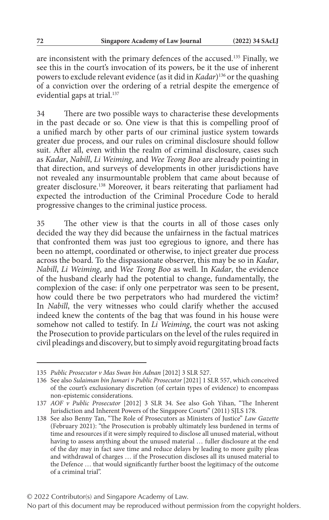are inconsistent with the primary defences of the accused.135 Finally, we see this in the court's invocation of its powers, be it the use of inherent powers to exclude relevant evidence (as it did in *Kadar*)136 or the quashing of a conviction over the ordering of a retrial despite the emergence of evidential gaps at trial.<sup>137</sup>

34 There are two possible ways to characterise these developments in the past decade or so. One view is that this is compelling proof of a unified march by other parts of our criminal justice system towards greater due process, and our rules on criminal disclosure should follow suit. After all, even within the realm of criminal disclosure, cases such as *Kadar*, *Nabill*, *Li Weiming*, and *Wee Teong Boo* are already pointing in that direction, and surveys of developments in other jurisdictions have not revealed any insurmountable problem that came about because of greater disclosure.<sup>138</sup> Moreover, it bears reiterating that parliament had expected the introduction of the Criminal Procedure Code to herald progressive changes to the criminal justice process.

35 The other view is that the courts in all of those cases only decided the way they did because the unfairness in the factual matrices that confronted them was just too egregious to ignore, and there has been no attempt, coordinated or otherwise, to inject greater due process across the board. To the dispassionate observer, this may be so in *Kadar*, *Nabill*, *Li Weiming*, and *Wee Teong Boo* as well. In *Kadar*, the evidence of the husband clearly had the potential to change, fundamentally, the complexion of the case: if only one perpetrator was seen to be present, how could there be two perpetrators who had murdered the victim? In *Nabill*, the very witnesses who could clarify whether the accused indeed knew the contents of the bag that was found in his house were somehow not called to testify. In *Li Weiming*, the court was not asking the Prosecution to provide particulars on the level of the rules required in civil pleadings and discovery, but to simply avoid regurgitating broad facts

<sup>135</sup> *Public Prosecutor v Mas Swan bin Adnan* [2012] 3 SLR 527.

<sup>136</sup> See also *Sulaiman bin Jumari v Public Prosecutor* [2021] 1 SLR 557, which conceived of the court's exclusionary discretion (of certain types of evidence) to encompass non-epistemic considerations.

<sup>137</sup> *AOF v Public Prosecutor* [2012] 3 SLR 34. See also Goh Yihan, "The Inherent Jurisdiction and Inherent Powers of the Singapore Courts" (2011) SJLS 178.

<sup>138</sup> See also Benny Tan, "The Role of Prosecutors as Ministers of Justice" *Law Gazette* (February 2021): "the Prosecution is probably ultimately less burdened in terms of time and resources if it were simply required to disclose all unused material, without having to assess anything about the unused material … fuller disclosure at the end of the day may in fact save time and reduce delays by leading to more guilty pleas and withdrawal of charges … if the Prosecution discloses all its unused material to the Defence … that would significantly further boost the legitimacy of the outcome of a criminal trial".

No part of this document may be reproduced without permission from the copyright holders.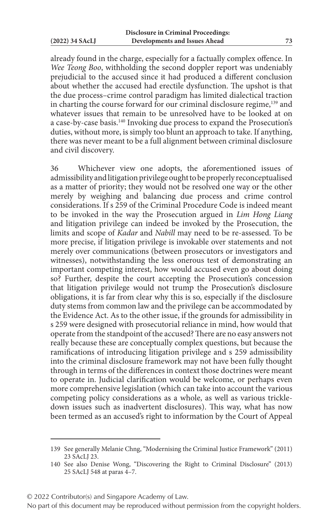already found in the charge, especially for a factually complex offence. In *Wee Teong Boo*, withholding the second doppler report was undeniably prejudicial to the accused since it had produced a different conclusion about whether the accused had erectile dysfunction. The upshot is that the due process–crime control paradigm has limited dialectical traction in charting the course forward for our criminal disclosure regime,<sup>139</sup> and whatever issues that remain to be unresolved have to be looked at on a case-by-case basis.140 Invoking due process to expand the Prosecution's duties, without more, is simply too blunt an approach to take. If anything, there was never meant to be a full alignment between criminal disclosure and civil discovery.

36 Whichever view one adopts, the aforementioned issues of admissibility and litigation privilege ought to be properly reconceptualised as a matter of priority; they would not be resolved one way or the other merely by weighing and balancing due process and crime control considerations. If s 259 of the Criminal Procedure Code is indeed meant to be invoked in the way the Prosecution argued in *Lim Hong Liang* and litigation privilege can indeed be invoked by the Prosecution, the limits and scope of *Kadar* and *Nabill* may need to be re-assessed. To be more precise, if litigation privilege is invokable over statements and not merely over communications (between prosecutors or investigators and witnesses), notwithstanding the less onerous test of demonstrating an important competing interest, how would accused even go about doing so? Further, despite the court accepting the Prosecution's concession that litigation privilege would not trump the Prosecution's disclosure obligations, it is far from clear why this is so, especially if the disclosure duty stems from common law and the privilege can be accommodated by the Evidence Act. As to the other issue, if the grounds for admissibility in s 259 were designed with prosecutorial reliance in mind, how would that operate from the standpoint of the accused? There are no easy answers not really because these are conceptually complex questions, but because the ramifications of introducing litigation privilege and s 259 admissibility into the criminal disclosure framework may not have been fully thought through in terms of the differences in context those doctrines were meant to operate in. Judicial clarification would be welcome, or perhaps even more comprehensive legislation (which can take into account the various competing policy considerations as a whole, as well as various trickledown issues such as inadvertent disclosures). This way, what has now been termed as an accused's right to information by the Court of Appeal

© 2022 Contributor(s) and Singapore Academy of Law.

<sup>139</sup> See generally Melanie Chng, "Modernising the Criminal Justice Framework" (2011) 23 SAcLJ 23.

<sup>140</sup> See also Denise Wong, "Discovering the Right to Criminal Disclosure" (2013) 25 SAcLJ 548 at paras 4–7.